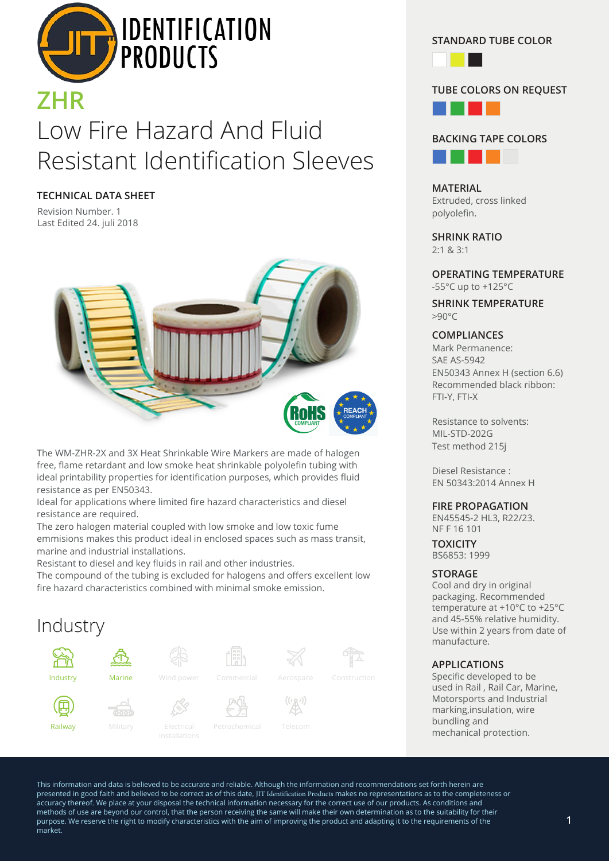

# Low Fire Hazard And Fluid Resistant Identification Sleeves

**TECHNICAL DATA SHEET**

Revision Number. 1 Last Edited 24. juli 2018



The WM-ZHR-2X and 3X Heat Shrinkable Wire Markers are made of halogen free, flame retardant and low smoke heat shrinkable polyolefin tubing with ideal printability properties for identification purposes, which provides fluid resistance as per EN50343.

Ideal for applications where limited fire hazard characteristics and diesel resistance are required.

The zero halogen material coupled with low smoke and low toxic fume emmisions makes this product ideal in enclosed spaces such as mass transit, marine and industrial installations.

Resistant to diesel and key fluids in rail and other industries.

The compound of the tubing is excluded for halogens and offers excellent low fire hazard characteristics combined with minimal smoke emission.



**STANDARD TUBE COLOR**



#### **TUBE COLORS ON REQUEST**





**MATERIAL** Extruded, cross linked polyolefin.

**SHRINK RATIO** 2:1 & 3:1

**OPERATING TEMPERATURE** -55°C up to +125°C

**SHRINK TEMPERATURE**  $>90^{\circ}C$ 

#### **COMPLIANCES**

Mark Permanence: SAE AS-5942 EN50343 Annex H (section 6.6) Recommended black ribbon: FTI-Y, FTI-X

Resistance to solvents: MIL-STD-202G Test method 215j

Diesel Resistance : EN 50343:2014 Annex H

#### **FIRE PROPAGATION**

EN45545-2 HL3, R22/23. NF F 16 101

**TOXICITY** BS6853: 1999

#### **STORAGE**

Cool and dry in original packaging. Recommended temperature at +10°C to +25°C and 45-55% relative humidity. Use within 2 years from date of manufacture.

#### **APPLICATIONS**

Specific developed to be used in Rail , Rail Car, Marine, Motorsports and Industrial marking,insulation, wire bundling and mechanical protection.

This information and data is believed to be accurate and reliable. Although the information and recommendations set forth herein are presented in good faith and believed to be correct as of this date, JIT Identification Products makes no representations as to the completeness or accuracy thereof. We place at your disposal the technical information necessary for the correct use of our products. As conditions and methods of use are beyond our control, that the person receiving the same will make their own determination as to the suitability for their purpose. We reserve the right to modify characteristics with the aim of improving the product and adapting it to the requirements of the market.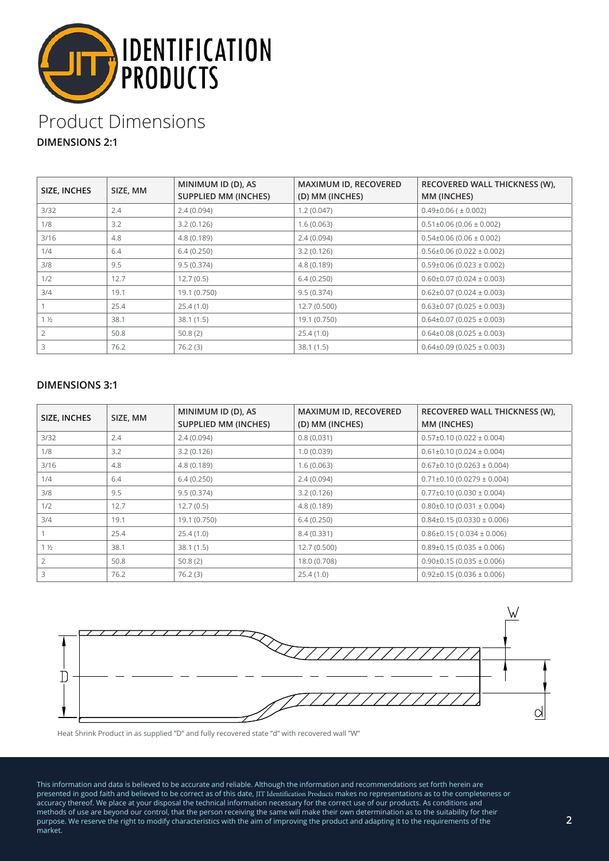

# Product Dimensions

**DIMENSIONS 2:1**

| SIZE, INCHES   | SIZE, MM | MINIMUM ID (D), AS<br><b>SUPPLIED MM (INCHES)</b> | MAXIMUM ID, RECOVERED<br>(D) MM (INCHES) | RECOVERED WALL THICKNESS (W),<br>MM (INCHES) |
|----------------|----------|---------------------------------------------------|------------------------------------------|----------------------------------------------|
| 3/32           | 2.4      | 2.4(0.094)                                        | 1.2(0.047)                               | $0.49\pm0.06$ ( $\pm$ 0.002)                 |
| 1/8            | 3.2      | 3.2(0.126)                                        | 1.6(0.063)                               | $0.51\pm0.06$ (0.06 $\pm$ 0.002)             |
| 3/16           | 4.8      | 4.8(0.189)                                        | 2.4(0.094)                               | $0.54\pm0.06$ (0.06 $\pm$ 0.002)             |
| 1/4            | 6.4      | 6.4(0.250)                                        | 3.2(0.126)                               | $0.56\pm0.06$ (0.022 $\pm$ 0.002)            |
| 3/8            | 9.5      | 9.5(0.374)                                        | 4.8(0.189)                               | $0.59\pm0.06$ (0.023 $\pm$ 0.002)            |
| 1/2            | 12.7     | 12.7(0.5)                                         | 6.4(0.250)                               | $0.60\pm0.07$ (0.024 $\pm$ 0.003)            |
| 3/4            | 19.1     | 19.1 (0.750)                                      | 9.5(0.374)                               | $0.62\pm0.07$ (0.024 $\pm$ 0.003)            |
|                | 25.4     | 25.4(1.0)                                         | 12.7(0.500)                              | $0.63\pm0.07$ (0.025 $\pm$ 0.003)            |
| $1\frac{1}{2}$ | 38.1     | 38.1(1.5)                                         | 19.1 (0.750)                             | $0.64\pm0.07$ (0.025 $\pm$ 0.003)            |
|                | 50.8     | 50.8(2)                                           | 25.4(1.0)                                | $0.64\pm0.08$ (0.025 $\pm$ 0.003)            |
|                | 76.2     | 76.2(3)                                           | 38.1(1.5)                                | $0.64\pm0.09$ (0.025 $\pm$ 0.003)            |

### **DIMENSIONS 3:1**

| SIZE, INCHES   | SIZE, MM | MINIMUM ID (D), AS<br><b>SUPPLIED MM (INCHES)</b> | MAXIMUM ID, RECOVERED<br>(D) MM (INCHES) | RECOVERED WALL THICKNESS (W),<br>MM (INCHES) |
|----------------|----------|---------------------------------------------------|------------------------------------------|----------------------------------------------|
| 3/32           | 2.4      | 2.4(0.094)                                        | 0.8(0.031)                               | $0.57\pm0.10$ (0.022 $\pm$ 0.004)            |
| 1/8            | 3.2      | 3.2(0.126)                                        | 1.0(0.039)                               | $0.61\pm0.10$ (0.024 $\pm$ 0.004)            |
| 3/16           | 4.8      | 4.8(0.189)                                        | 1.6(0.063)                               | $0.67\pm0.10$ (0.0263 $\pm$ 0.004)           |
| 1/4            | 6.4      | 6.4(0.250)                                        | 2.4(0.094)                               | $0.71\pm0.10$ (0.0279 $\pm$ 0.004)           |
| 3/8            | 9.5      | 9.5(0.374)                                        | 3.2(0.126)                               | $0.77\pm0.10$ (0.030 $\pm$ 0.004)            |
| 1/2            | 12.7     | 12.7(0.5)                                         | 4.8 (0.189)                              | $0.80\pm0.10$ (0.031 $\pm$ 0.004)            |
| 3/4            | 19.1     | 19.1 (0.750)                                      | 6.4(0.250)                               | $0.84\pm0.15(0.0330\pm0.006)$                |
|                | 25.4     | 25.4(1.0)                                         | 8.4 (0.331)                              | $0.86\pm0.15$ ( $0.034\pm0.006$ )            |
| $1\frac{1}{2}$ | 38.1     | 38.1(1.5)                                         | 12.7(0.500)                              | $0.89\pm0.15(0.035\pm0.006)$                 |
| $\overline{2}$ | 50.8     | 50.8(2)                                           | 18.0 (0.708)                             | $0.90\pm0.15(0.035\pm0.006)$                 |
| 3              | 76.2     | 76.2(3)                                           | 25.4(1.0)                                | $0.92\pm0.15(0.036\pm0.006)$                 |



Heat Shrink Product in as supplied "D" and fully recovered state "d" with recovered wall "W"

This information and data is believed to be accurate and reliable. Although the information and recommendations set forth herein are presented in good faith and believed to be correct as of this date, JIT Identification Products makes no representations as to the completeness or accuracy thereof. We place at your disposal the technical information necessary for the correct use of our products. As conditions and methods of use are beyond our control, that the person receiving the same will make their own determination as to the suitability for their purpose. We reserve the right to modify characteristics with the aim of improving the product and adapting it to the requirements of the market.